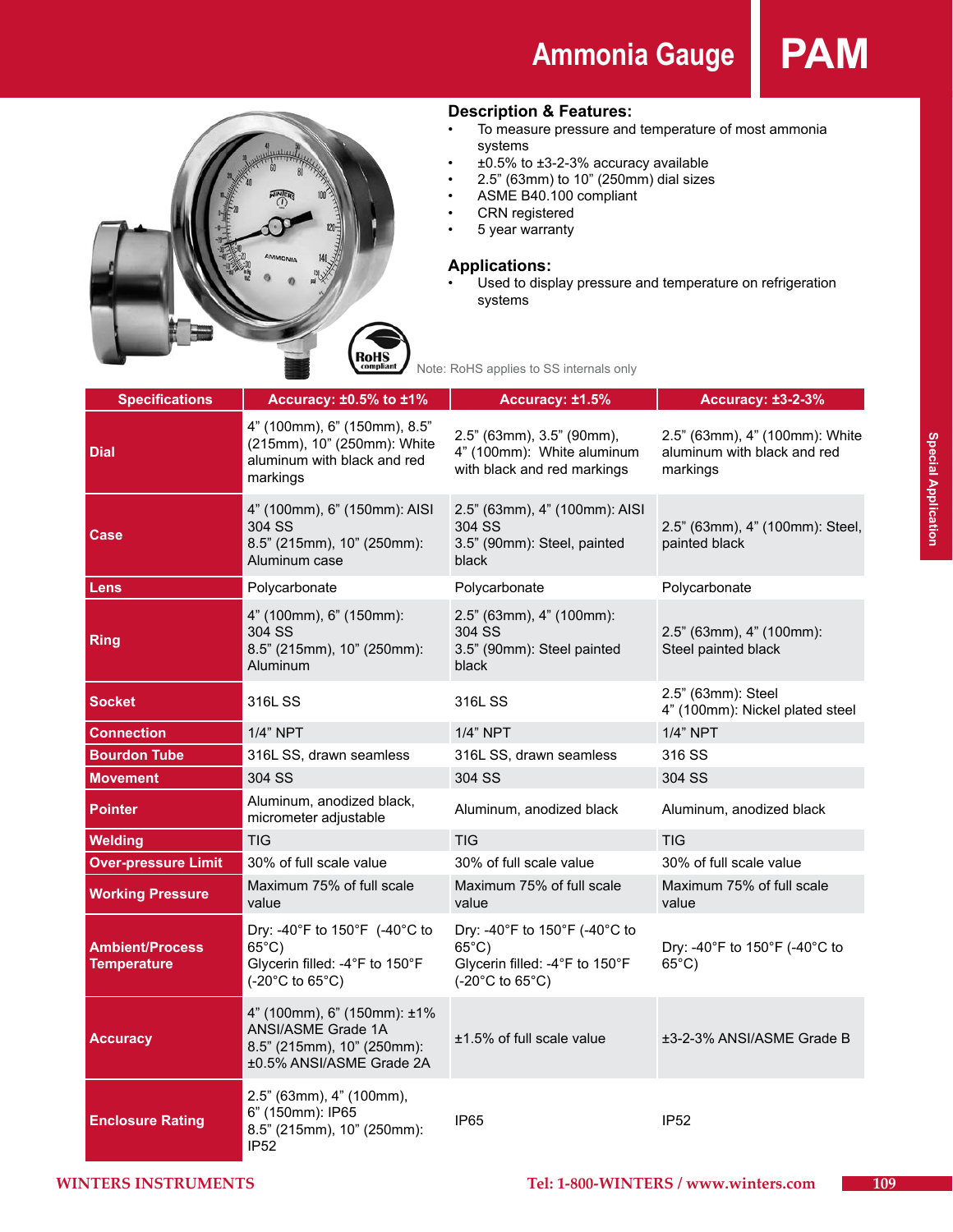## **Ammonia Gauge PAM**



#### **Description & Features:**

- • To measure pressure and temperature of most ammonia systems
- $\pm 0.5\%$  to  $\pm 3$ -2-3% accuracy available
- 2.5" (63mm) to 10" (250mm) dial sizes
- • ASME B40.100 compliant
- • CRN registered
- 5 year warranty

#### **Applications:**

Used to display pressure and temperature on refrigeration systems

| <b>Specifications</b>                        | Accuracy: ±0.5% to ±1%                                                                                      | Accuracy: ±1.5%                                                                                       | <b>Accuracy: ±3-2-3%</b>                                                  |  |
|----------------------------------------------|-------------------------------------------------------------------------------------------------------------|-------------------------------------------------------------------------------------------------------|---------------------------------------------------------------------------|--|
| Dial                                         | 4" (100mm), 6" (150mm), 8.5"<br>(215mm), 10" (250mm): White<br>aluminum with black and red<br>markings      | 2.5" (63mm), 3.5" (90mm),<br>4" (100mm): White aluminum<br>with black and red markings                | 2.5" (63mm), 4" (100mm): White<br>aluminum with black and red<br>markings |  |
| Case                                         | 4" (100mm), 6" (150mm): AISI<br>304 SS<br>8.5" (215mm), 10" (250mm):<br>Aluminum case                       | 2.5" (63mm), 4" (100mm): AISI<br>304 SS<br>3.5" (90mm): Steel, painted<br>black                       | 2.5" (63mm), 4" (100mm): Steel,<br>painted black                          |  |
| Lens                                         | Polycarbonate                                                                                               | Polycarbonate                                                                                         | Polycarbonate                                                             |  |
| <b>Ring</b>                                  | 4" (100mm), 6" (150mm):<br>304 SS<br>8.5" (215mm), 10" (250mm):<br>Aluminum                                 | 2.5" (63mm), 4" (100mm):<br>304 SS<br>3.5" (90mm): Steel painted<br>black                             | 2.5" (63mm), 4" (100mm):<br>Steel painted black                           |  |
| Socket                                       | 316L SS                                                                                                     | 316L SS                                                                                               | 2.5" (63mm): Steel<br>4" (100mm): Nickel plated steel                     |  |
| <b>Connection</b>                            | 1/4" NPT                                                                                                    | 1/4" NPT                                                                                              | 1/4" NPT                                                                  |  |
| <b>Bourdon Tube</b>                          | 316L SS, drawn seamless                                                                                     | 316L SS, drawn seamless                                                                               | 316 SS                                                                    |  |
| <b>Movement</b>                              | 304 SS                                                                                                      | 304 SS                                                                                                | 304 SS                                                                    |  |
| Pointer                                      | Aluminum, anodized black,<br>micrometer adjustable                                                          | Aluminum, anodized black                                                                              | Aluminum, anodized black                                                  |  |
| <b>Welding</b>                               | <b>TIG</b>                                                                                                  | <b>TIG</b>                                                                                            | <b>TIG</b>                                                                |  |
| <b>Over-pressure Limit</b>                   | 30% of full scale value                                                                                     | 30% of full scale value                                                                               | 30% of full scale value                                                   |  |
| <b>Working Pressure</b>                      | Maximum 75% of full scale<br>value                                                                          | Maximum 75% of full scale<br>value                                                                    | Maximum 75% of full scale<br>value                                        |  |
| <b>Ambient/Process</b><br><b>Temperature</b> | Dry: -40°F to 150°F (-40°C to<br>$65^{\circ}$ C)<br>Glycerin filled: -4°F to 150°F<br>(-20°C to 65°C)       | Dry: -40°F to 150°F (-40°C to<br>$65^{\circ}$ C)<br>Glycerin filled: -4°F to 150°F<br>(-20°C to 65°C) | Dry: -40°F to 150°F (-40°C to<br>$65^{\circ}$ C)                          |  |
| Accuracy                                     | 4" (100mm), 6" (150mm): ±1%<br>ANSI/ASME Grade 1A<br>8.5" (215mm), 10" (250mm):<br>±0.5% ANSI/ASME Grade 2A | $±1.5\%$ of full scale value                                                                          | ±3-2-3% ANSI/ASME Grade B                                                 |  |
| <b>Enclosure Rating</b>                      | 2.5" (63mm), 4" (100mm),<br>6" (150mm): IP65<br>8.5" (215mm), 10" (250mm):<br><b>IP52</b>                   | <b>IP65</b>                                                                                           | <b>IP52</b>                                                               |  |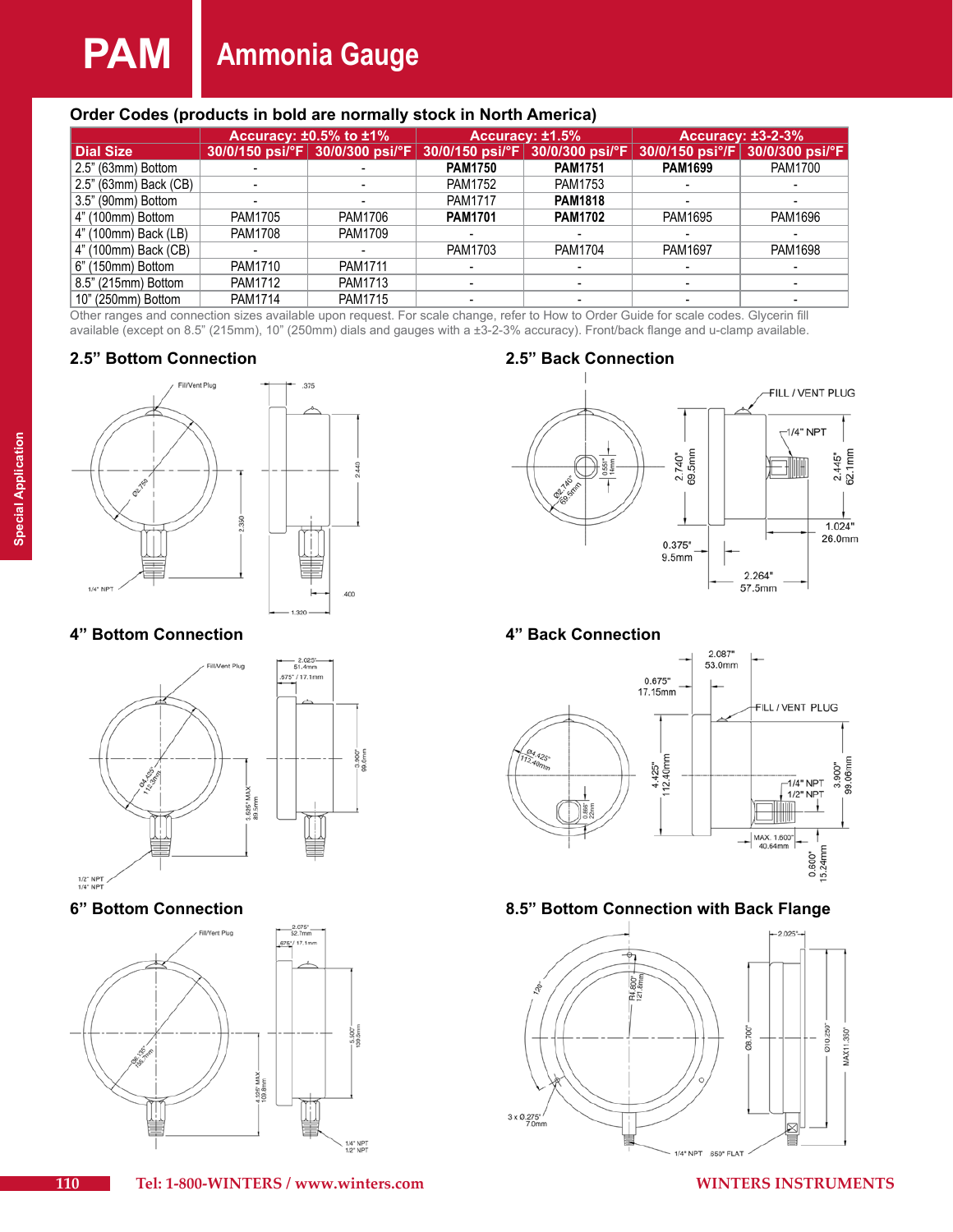# **PAM Ammonia Gauge**

#### **Order Codes (products in bold are normally stock in North America)**

|                       | Accuracy: $\pm 0.5\%$ to $\pm 1\%$ |         | Accuracy: ±1.5%                                 |                                    | <b>Accuracy: ±3-2-3%</b> |                                                           |  |  |
|-----------------------|------------------------------------|---------|-------------------------------------------------|------------------------------------|--------------------------|-----------------------------------------------------------|--|--|
| <b>Dial Size</b>      |                                    |         | 30/0/150 psi/°F 30/0/300 psi/°F 30/0/150 psi/°F | $ 30/0/300 \text{ psi}/^{\circ}F $ |                          | 30/0/150 psi <sup>o</sup> /F 30/0/300 psi/ <sup>o</sup> F |  |  |
| 2.5" (63mm) Bottom    |                                    |         | <b>PAM1750</b>                                  | <b>PAM1751</b>                     | <b>PAM1699</b>           | <b>PAM1700</b>                                            |  |  |
| 2.5" (63mm) Back (CB) |                                    |         | <b>PAM1752</b>                                  | <b>PAM1753</b>                     |                          |                                                           |  |  |
| 3.5" (90mm) Bottom    |                                    |         | <b>PAM1717</b>                                  | <b>PAM1818</b>                     |                          |                                                           |  |  |
| 4" (100mm) Bottom     | PAM1705                            | PAM1706 | <b>PAM1701</b>                                  | <b>PAM1702</b>                     | PAM1695                  | PAM1696                                                   |  |  |
| 4" (100mm) Back (LB)  | <b>PAM1708</b>                     | PAM1709 | $\blacksquare$                                  |                                    |                          |                                                           |  |  |
| 4" (100mm) Back (CB)  |                                    |         | PAM1703                                         | <b>PAM1704</b>                     | <b>PAM1697</b>           | PAM1698                                                   |  |  |
| 6" (150mm) Bottom     | PAM1710                            | PAM1711 |                                                 |                                    |                          |                                                           |  |  |
| 8.5" (215mm) Bottom   | <b>PAM1712</b>                     | PAM1713 | $\blacksquare$                                  |                                    |                          |                                                           |  |  |
| 10" (250mm) Bottom    | PAM1714                            | PAM1715 |                                                 |                                    |                          |                                                           |  |  |
|                       |                                    |         |                                                 |                                    |                          |                                                           |  |  |

Other ranges and connection sizes available upon request. For scale change, refer to How to Order Guide for scale codes. Glycerin fill available (except on 8.5" (215mm), 10" (250mm) dials and gauges with a ±3-2-3% accuracy). Front/back flange and u-clamp available.

## **2.5" Bottom Connection 2.5" Back Connection**



## **4" Bottom Connection 4" Back Connection**









## **6" Bottom Connection 8.5" Bottom Connection with Back Flange**